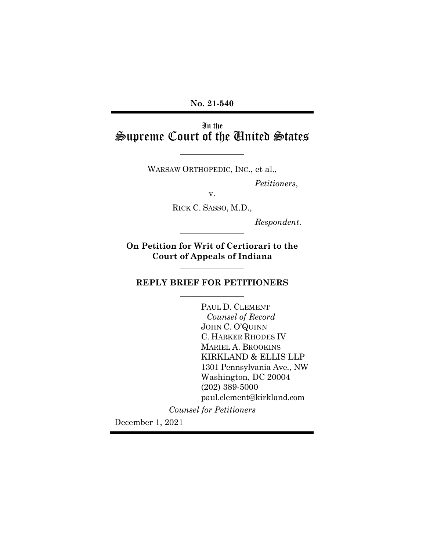**No. 21-540**

# In the Supreme Court of the United States

 $\overline{\phantom{a}}$  , where  $\overline{\phantom{a}}$ 

WARSAW ORTHOPEDIC, INC., et al.,

*Petitioners*,

v.

RICK C. SASSO, M.D.,

*Respondent*. \_\_\_\_\_\_\_\_\_\_\_\_\_\_\_\_

**On Petition for Writ of Certiorari to the Court of Appeals of Indiana** 

 $\overline{\phantom{a}}$  , where  $\overline{\phantom{a}}$ 

## **REPLY BRIEF FOR PETITIONERS**  $\overline{\phantom{a}}$  , where  $\overline{\phantom{a}}$

PAUL D. CLEMENT *Counsel of Record* JOHN C. O'QUINN C. HARKER RHODES IV MARIEL A. BROOKINS KIRKLAND & ELLIS LLP 1301 Pennsylvania Ave., NW Washington, DC 20004 (202) 389-5000 paul.clement@kirkland.com

*Counsel for Petitioners*

December 1, 2021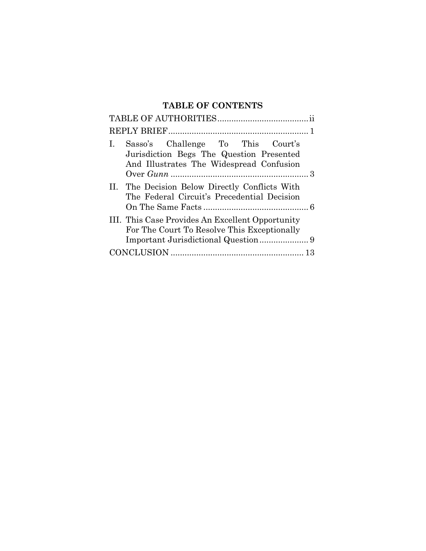## **TABLE OF CONTENTS**

| Sasso's Challenge To This Court's<br>1.<br>Jurisdiction Begs The Question Presented<br>And Illustrates The Widespread Confusion |
|---------------------------------------------------------------------------------------------------------------------------------|
| II. The Decision Below Directly Conflicts With<br>The Federal Circuit's Precedential Decision                                   |
| III. This Case Provides An Excellent Opportunity<br>For The Court To Resolve This Exceptionally                                 |
|                                                                                                                                 |
|                                                                                                                                 |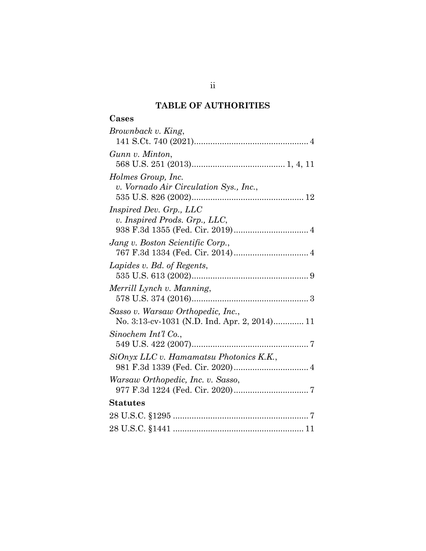## **TABLE OF AUTHORITIES**

# **Cases**

| Brownback v. King,                                                                |
|-----------------------------------------------------------------------------------|
| Gunn v. Minton,                                                                   |
| Holmes Group, Inc.<br>v. Vornado Air Circulation Sys., Inc.,                      |
| Inspired Dev. Grp., LLC<br>v. Inspired Prods. Grp., LLC,                          |
| Jang v. Boston Scientific Corp.,                                                  |
| Lapides v. Bd. of Regents,                                                        |
| Merrill Lynch v. Manning,                                                         |
| Sasso v. Warsaw Orthopedic, Inc.,<br>No. 3:13-cv-1031 (N.D. Ind. Apr. 2, 2014) 11 |
| Sinochem Int'l Co.,                                                               |
| SiOnyx LLC v. Hamamatsu Photonics K.K.,                                           |
| Warsaw Orthopedic, Inc. v. Sasso,                                                 |
| <b>Statutes</b>                                                                   |
|                                                                                   |
|                                                                                   |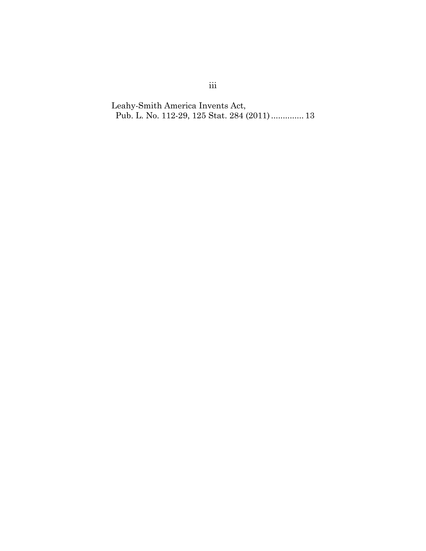Leahy-Smith America Invents Act, Pub. L. No. 112-29, 125 Stat. 284 (2011).............. 13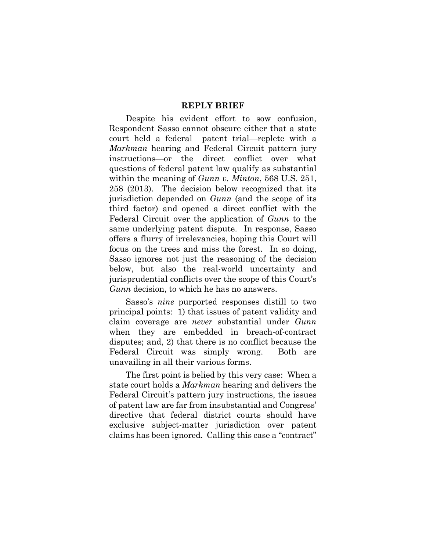#### **REPLY BRIEF**

Despite his evident effort to sow confusion, Respondent Sasso cannot obscure either that a state court held a federal patent trial—replete with a *Markman* hearing and Federal Circuit pattern jury instructions—or the direct conflict over what questions of federal patent law qualify as substantial within the meaning of *Gunn v. Minton*, 568 U.S. 251, 258 (2013). The decision below recognized that its jurisdiction depended on *Gunn* (and the scope of its third factor) and opened a direct conflict with the Federal Circuit over the application of *Gunn* to the same underlying patent dispute. In response, Sasso offers a flurry of irrelevancies, hoping this Court will focus on the trees and miss the forest. In so doing, Sasso ignores not just the reasoning of the decision below, but also the real-world uncertainty and jurisprudential conflicts over the scope of this Court's *Gunn* decision, to which he has no answers.

Sasso's *nine* purported responses distill to two principal points: 1) that issues of patent validity and claim coverage are *never* substantial under *Gunn*  when they are embedded in breach-of-contract disputes; and, 2) that there is no conflict because the Federal Circuit was simply wrong. Both are unavailing in all their various forms.

The first point is belied by this very case: When a state court holds a *Markman* hearing and delivers the Federal Circuit's pattern jury instructions, the issues of patent law are far from insubstantial and Congress' directive that federal district courts should have exclusive subject-matter jurisdiction over patent claims has been ignored. Calling this case a "contract"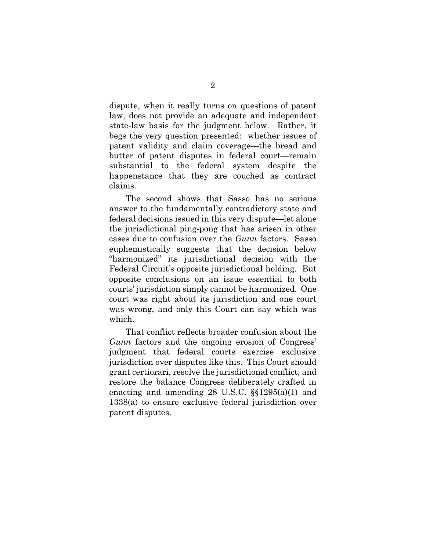dispute, when it really turns on questions of patent law, does not provide an adequate and independent state-law basis for the judgment below. Rather, it begs the very question presented: whether issues of patent validity and claim coverage—the bread and butter of patent disputes in federal court—remain substantial to the federal system despite the happenstance that they are couched as contract claims.

The second shows that Sasso has no serious answer to the fundamentally contradictory state and federal decisions issued in this very dispute—let alone the jurisdictional ping-pong that has arisen in other cases due to confusion over the *Gunn* factors. Sasso euphemistically suggests that the decision below "harmonized" its jurisdictional decision with the Federal Circuit's opposite jurisdictional holding. But opposite conclusions on an issue essential to both courts' jurisdiction simply cannot be harmonized. One court was right about its jurisdiction and one court was wrong, and only this Court can say which was which.

That conflict reflects broader confusion about the *Gunn* factors and the ongoing erosion of Congress' judgment that federal courts exercise exclusive jurisdiction over disputes like this. This Court should grant certiorari, resolve the jurisdictional conflict, and restore the balance Congress deliberately crafted in enacting and amending 28 U.S.C. §§1295(a)(1) and 1338(a) to ensure exclusive federal jurisdiction over patent disputes.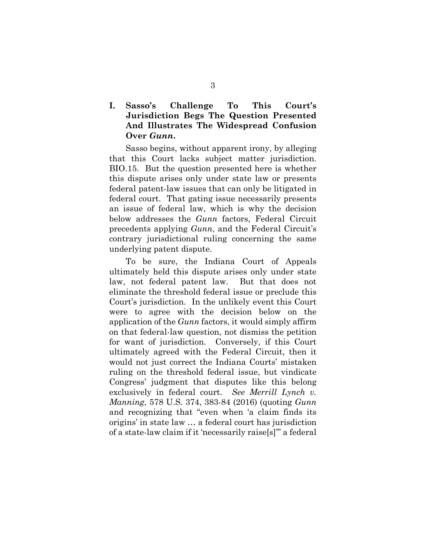## **I. Sasso's Challenge To This Court's Jurisdiction Begs The Question Presented And Illustrates The Widespread Confusion Over** *Gunn***.**

Sasso begins, without apparent irony, by alleging that this Court lacks subject matter jurisdiction. BIO.15. But the question presented here is whether this dispute arises only under state law or presents federal patent-law issues that can only be litigated in federal court. That gating issue necessarily presents an issue of federal law, which is why the decision below addresses the *Gunn* factors, Federal Circuit precedents applying *Gunn*, and the Federal Circuit's contrary jurisdictional ruling concerning the same underlying patent dispute.

To be sure, the Indiana Court of Appeals ultimately held this dispute arises only under state law, not federal patent law. But that does not eliminate the threshold federal issue or preclude this Court's jurisdiction. In the unlikely event this Court were to agree with the decision below on the application of the *Gunn* factors, it would simply affirm on that federal-law question, not dismiss the petition for want of jurisdiction. Conversely, if this Court ultimately agreed with the Federal Circuit, then it would not just correct the Indiana Courts' mistaken ruling on the threshold federal issue, but vindicate Congress' judgment that disputes like this belong exclusively in federal court. *See Merrill Lynch v. Manning*, 578 U.S. 374, 383-84 (2016) (quoting *Gunn* and recognizing that "even when 'a claim finds its origins' in state law … a federal court has jurisdiction of a state-law claim if it 'necessarily raise[s]'" a federal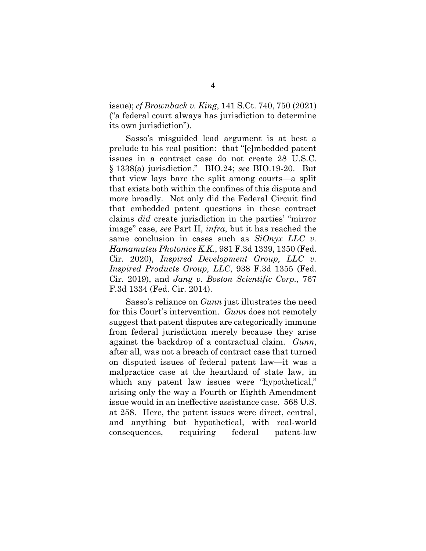issue); *cf Brownback v. King*, 141 S.Ct. 740, 750 (2021) ("a federal court always has jurisdiction to determine its own jurisdiction").

Sasso's misguided lead argument is at best a prelude to his real position: that "[e]mbedded patent issues in a contract case do not create 28 U.S.C. § 1338(a) jurisdiction." BIO.24; *see* BIO.19-20. But that view lays bare the split among courts—a split that exists both within the confines of this dispute and more broadly. Not only did the Federal Circuit find that embedded patent questions in these contract claims *did* create jurisdiction in the parties' "mirror image" case, *see* Part II, *infra*, but it has reached the same conclusion in cases such as *SiOnyx LLC v. Hamamatsu Photonics K.K.*, 981 F.3d 1339, 1350 (Fed. Cir. 2020), *Inspired Development Group, LLC v. Inspired Products Group, LLC*, 938 F.3d 1355 (Fed. Cir. 2019), and *Jang v. Boston Scientific Corp.*, 767 F.3d 1334 (Fed. Cir. 2014).

Sasso's reliance on *Gunn* just illustrates the need for this Court's intervention. *Gunn* does not remotely suggest that patent disputes are categorically immune from federal jurisdiction merely because they arise against the backdrop of a contractual claim. *Gunn*, after all, was not a breach of contract case that turned on disputed issues of federal patent law—it was a malpractice case at the heartland of state law, in which any patent law issues were "hypothetical," arising only the way a Fourth or Eighth Amendment issue would in an ineffective assistance case. 568 U.S. at 258. Here, the patent issues were direct, central, and anything but hypothetical, with real-world consequences, requiring federal patent-law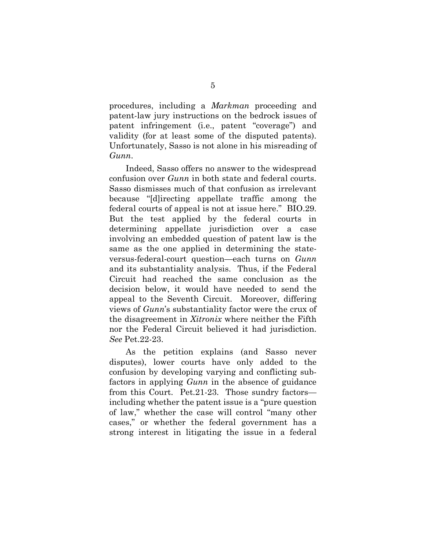procedures, including a *Markman* proceeding and patent-law jury instructions on the bedrock issues of patent infringement (i.e., patent "coverage") and validity (for at least some of the disputed patents). Unfortunately, Sasso is not alone in his misreading of *Gunn*.

Indeed, Sasso offers no answer to the widespread confusion over *Gunn* in both state and federal courts. Sasso dismisses much of that confusion as irrelevant because "[d]irecting appellate traffic among the federal courts of appeal is not at issue here." BIO.29. But the test applied by the federal courts in determining appellate jurisdiction over a case involving an embedded question of patent law is the same as the one applied in determining the stateversus-federal-court question—each turns on *Gunn* and its substantiality analysis. Thus, if the Federal Circuit had reached the same conclusion as the decision below, it would have needed to send the appeal to the Seventh Circuit. Moreover, differing views of *Gunn*'s substantiality factor were the crux of the disagreement in *Xitronix* where neither the Fifth nor the Federal Circuit believed it had jurisdiction. *See* Pet.22-23.

As the petition explains (and Sasso never disputes), lower courts have only added to the confusion by developing varying and conflicting subfactors in applying *Gunn* in the absence of guidance from this Court. Pet.21-23. Those sundry factors including whether the patent issue is a "pure question of law," whether the case will control "many other cases," or whether the federal government has a strong interest in litigating the issue in a federal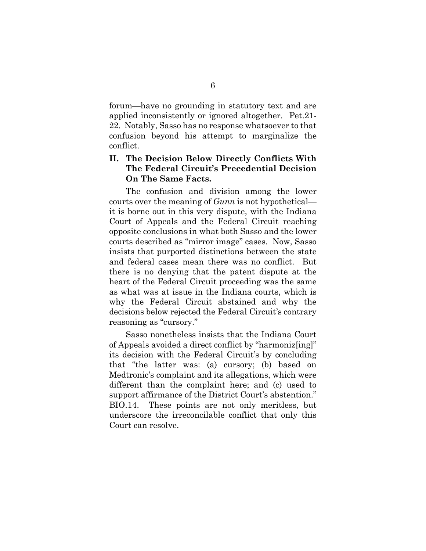forum—have no grounding in statutory text and are applied inconsistently or ignored altogether. Pet.21- 22. Notably, Sasso has no response whatsoever to that confusion beyond his attempt to marginalize the conflict.

## **II. The Decision Below Directly Conflicts With The Federal Circuit's Precedential Decision On The Same Facts.**

The confusion and division among the lower courts over the meaning of *Gunn* is not hypothetical it is borne out in this very dispute, with the Indiana Court of Appeals and the Federal Circuit reaching opposite conclusions in what both Sasso and the lower courts described as "mirror image" cases. Now, Sasso insists that purported distinctions between the state and federal cases mean there was no conflict. But there is no denying that the patent dispute at the heart of the Federal Circuit proceeding was the same as what was at issue in the Indiana courts, which is why the Federal Circuit abstained and why the decisions below rejected the Federal Circuit's contrary reasoning as "cursory."

Sasso nonetheless insists that the Indiana Court of Appeals avoided a direct conflict by "harmoniz[ing]" its decision with the Federal Circuit's by concluding that "the latter was: (a) cursory; (b) based on Medtronic's complaint and its allegations, which were different than the complaint here; and (c) used to support affirmance of the District Court's abstention." BIO.14. These points are not only meritless, but underscore the irreconcilable conflict that only this Court can resolve.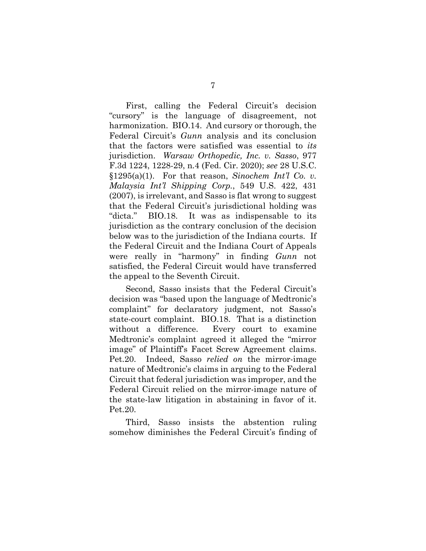First, calling the Federal Circuit's decision "cursory" is the language of disagreement, not harmonization. BIO.14. And cursory or thorough, the Federal Circuit's *Gunn* analysis and its conclusion that the factors were satisfied was essential to *its* jurisdiction. *Warsaw Orthopedic, Inc. v. Sasso*, 977 F.3d 1224, 1228-29, n.4 (Fed. Cir. 2020); *see* 28 U.S.C. §1295(a)(1). For that reason, *Sinochem Int'l Co. v. Malaysia Int'l Shipping Corp.*, 549 U.S. 422, 431 (2007), is irrelevant, and Sasso is flat wrong to suggest that the Federal Circuit's jurisdictional holding was "dicta." BIO.18. It was as indispensable to its jurisdiction as the contrary conclusion of the decision below was to the jurisdiction of the Indiana courts. If the Federal Circuit and the Indiana Court of Appeals were really in "harmony" in finding *Gunn* not satisfied, the Federal Circuit would have transferred the appeal to the Seventh Circuit.

Second, Sasso insists that the Federal Circuit's decision was "based upon the language of Medtronic's complaint" for declaratory judgment, not Sasso's state-court complaint. BIO.18. That is a distinction without a difference. Every court to examine Medtronic's complaint agreed it alleged the "mirror image" of Plaintiff's Facet Screw Agreement claims. Pet.20. Indeed, Sasso *relied on* the mirror-image nature of Medtronic's claims in arguing to the Federal Circuit that federal jurisdiction was improper, and the Federal Circuit relied on the mirror-image nature of the state-law litigation in abstaining in favor of it. Pet.20.

Third, Sasso insists the abstention ruling somehow diminishes the Federal Circuit's finding of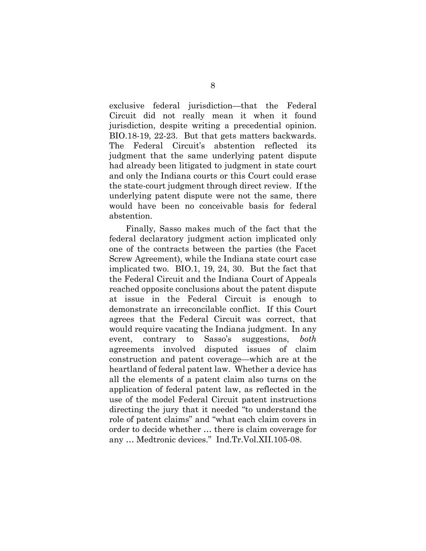exclusive federal jurisdiction—that the Federal Circuit did not really mean it when it found jurisdiction, despite writing a precedential opinion. BIO.18-19, 22-23. But that gets matters backwards. The Federal Circuit's abstention reflected its judgment that the same underlying patent dispute had already been litigated to judgment in state court and only the Indiana courts or this Court could erase the state-court judgment through direct review. If the underlying patent dispute were not the same, there would have been no conceivable basis for federal abstention.

Finally, Sasso makes much of the fact that the federal declaratory judgment action implicated only one of the contracts between the parties (the Facet Screw Agreement), while the Indiana state court case implicated two. BIO.1, 19, 24, 30. But the fact that the Federal Circuit and the Indiana Court of Appeals reached opposite conclusions about the patent dispute at issue in the Federal Circuit is enough to demonstrate an irreconcilable conflict. If this Court agrees that the Federal Circuit was correct, that would require vacating the Indiana judgment. In any event, contrary to Sasso's suggestions, *both* agreements involved disputed issues of claim construction and patent coverage—which are at the heartland of federal patent law. Whether a device has all the elements of a patent claim also turns on the application of federal patent law, as reflected in the use of the model Federal Circuit patent instructions directing the jury that it needed "to understand the role of patent claims" and "what each claim covers in order to decide whether … there is claim coverage for any … Medtronic devices." Ind.Tr.Vol.XII.105-08.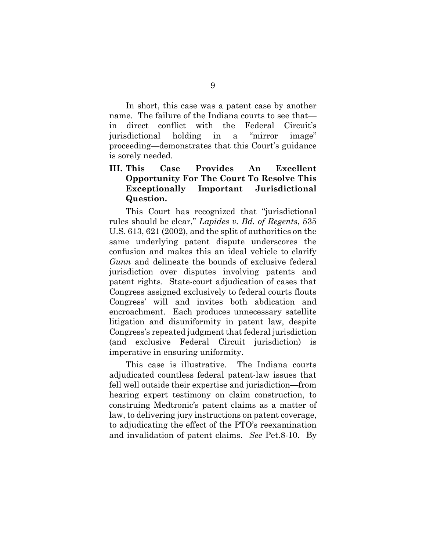In short, this case was a patent case by another name. The failure of the Indiana courts to see that in direct conflict with the Federal Circuit's jurisdictional holding in a "mirror image" proceeding—demonstrates that this Court's guidance is sorely needed.

## **III. This Case Provides An Excellent Opportunity For The Court To Resolve This Exceptionally Important Jurisdictional Question.**

This Court has recognized that "jurisdictional rules should be clear," *Lapides v. Bd. of Regents*, 535 U.S. 613, 621 (2002), and the split of authorities on the same underlying patent dispute underscores the confusion and makes this an ideal vehicle to clarify *Gunn* and delineate the bounds of exclusive federal jurisdiction over disputes involving patents and patent rights. State-court adjudication of cases that Congress assigned exclusively to federal courts flouts Congress' will and invites both abdication and encroachment. Each produces unnecessary satellite litigation and disuniformity in patent law, despite Congress's repeated judgment that federal jurisdiction (and exclusive Federal Circuit jurisdiction) is imperative in ensuring uniformity.

This case is illustrative. The Indiana courts adjudicated countless federal patent-law issues that fell well outside their expertise and jurisdiction—from hearing expert testimony on claim construction, to construing Medtronic's patent claims as a matter of law, to delivering jury instructions on patent coverage, to adjudicating the effect of the PTO's reexamination and invalidation of patent claims. *See* Pet.8-10. By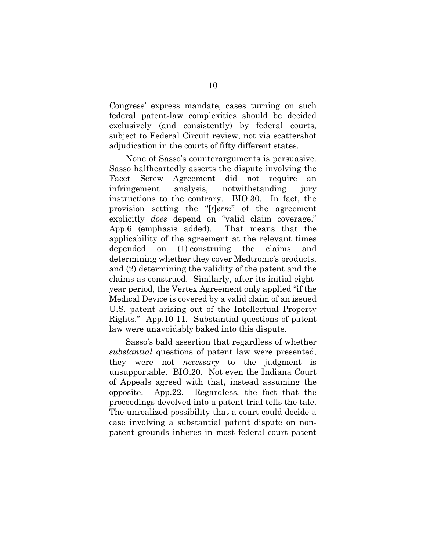Congress' express mandate, cases turning on such federal patent-law complexities should be decided exclusively (and consistently) by federal courts, subject to Federal Circuit review, not via scattershot adjudication in the courts of fifty different states.

None of Sasso's counterarguments is persuasive. Sasso halfheartedly asserts the dispute involving the Facet Screw Agreement did not require an infringement analysis, notwithstanding jury instructions to the contrary. BIO.30. In fact, the provision setting the "[*t*]*erm*" of the agreement explicitly *does* depend on "valid claim coverage." App.6 (emphasis added). That means that the applicability of the agreement at the relevant times depended on (1) construing the claims and determining whether they cover Medtronic's products, and (2) determining the validity of the patent and the claims as construed. Similarly, after its initial eightyear period, the Vertex Agreement only applied "if the Medical Device is covered by a valid claim of an issued U.S. patent arising out of the Intellectual Property Rights." App.10-11. Substantial questions of patent law were unavoidably baked into this dispute.

Sasso's bald assertion that regardless of whether *substantial* questions of patent law were presented, they were not *necessary* to the judgment is unsupportable. BIO.20. Not even the Indiana Court of Appeals agreed with that, instead assuming the opposite. App.22. Regardless, the fact that the proceedings devolved into a patent trial tells the tale. The unrealized possibility that a court could decide a case involving a substantial patent dispute on nonpatent grounds inheres in most federal-court patent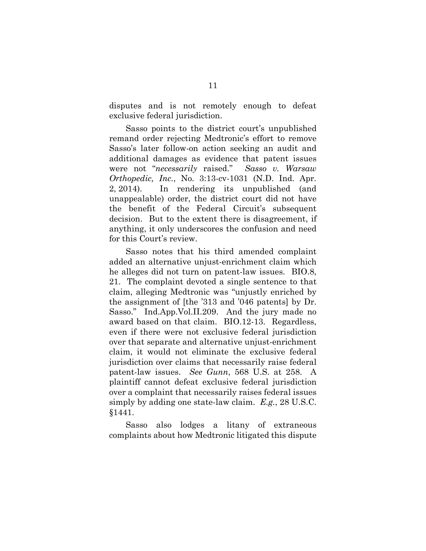disputes and is not remotely enough to defeat exclusive federal jurisdiction.

Sasso points to the district court's unpublished remand order rejecting Medtronic's effort to remove Sasso's later follow-on action seeking an audit and additional damages as evidence that patent issues were not "*necessarily* raised." *Sasso v. Warsaw Orthopedic, Inc.*, No. 3:13-cv-1031 (N.D. Ind. Apr. 2, 2014). In rendering its unpublished (and unappealable) order, the district court did not have the benefit of the Federal Circuit's subsequent decision. But to the extent there is disagreement, if anything, it only underscores the confusion and need for this Court's review.

Sasso notes that his third amended complaint added an alternative unjust-enrichment claim which he alleges did not turn on patent-law issues. BIO.8, 21. The complaint devoted a single sentence to that claim, alleging Medtronic was "unjustly enriched by the assignment of [the '313 and '046 patents] by Dr. Sasso." Ind.App.Vol.II.209. And the jury made no award based on that claim. BIO.12-13. Regardless, even if there were not exclusive federal jurisdiction over that separate and alternative unjust-enrichment claim, it would not eliminate the exclusive federal jurisdiction over claims that necessarily raise federal patent-law issues. *See Gunn*, 568 U.S. at 258. A plaintiff cannot defeat exclusive federal jurisdiction over a complaint that necessarily raises federal issues simply by adding one state-law claim. *E.g.*, 28 U.S.C. §1441.

Sasso also lodges a litany of extraneous complaints about how Medtronic litigated this dispute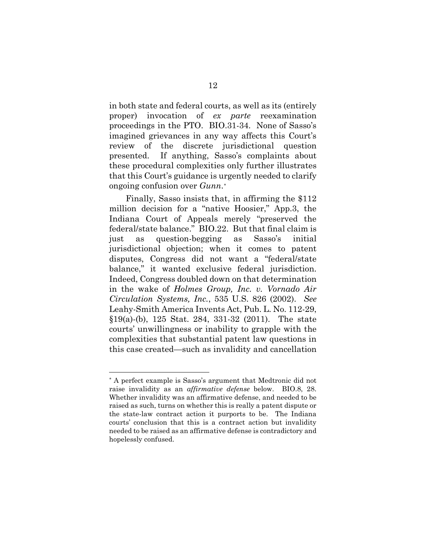in both state and federal courts, as well as its (entirely proper) invocation of *ex parte* reexamination proceedings in the PTO. BIO.31-34. None of Sasso's imagined grievances in any way affects this Court's review of the discrete jurisdictional question presented. If anything, Sasso's complaints about these procedural complexities only further illustrates that this Court's guidance is urgently needed to clarify ongoing confusion over *Gunn*.[\\*](#page-15-0)

Finally, Sasso insists that, in affirming the \$112 million decision for a "native Hoosier," App.3, the Indiana Court of Appeals merely "preserved the federal/state balance." BIO.22. But that final claim is just as question-begging as Sasso's initial jurisdictional objection; when it comes to patent disputes, Congress did not want a "federal/state balance," it wanted exclusive federal jurisdiction. Indeed, Congress doubled down on that determination in the wake of *Holmes Group, Inc. v. Vornado Air Circulation Systems, Inc.*, 535 U.S. 826 (2002). *See*  Leahy-Smith America Invents Act, Pub. L. No. 112-29, §19(a)-(b), 125 Stat. 284, 331-32 (2011). The state courts' unwillingness or inability to grapple with the complexities that substantial patent law questions in this case created—such as invalidity and cancellation

<u>.</u>

<span id="page-15-0"></span><sup>\*</sup> A perfect example is Sasso's argument that Medtronic did not raise invalidity as an *affirmative defense* below. BIO.8, 28. Whether invalidity was an affirmative defense, and needed to be raised as such, turns on whether this is really a patent dispute or the state-law contract action it purports to be. The Indiana courts' conclusion that this is a contract action but invalidity needed to be raised as an affirmative defense is contradictory and hopelessly confused.